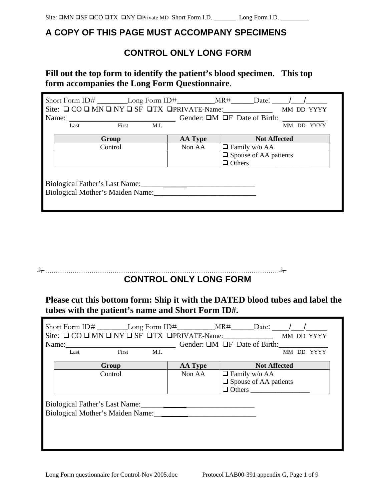## **A COPY OF THIS PAGE MUST ACCOMPANY SPECIMENS**

# **CONTROL ONLY LONG FORM**

## **Fill out the top form to identify the patient's blood specimen. This top form accompanies the Long Form Questionnaire**.

| Short Form ID# __________Long Form ID# ______________MR# ______Date: _____/ ___/                                                                                                                                              |               |                |                              |            |  |  |
|-------------------------------------------------------------------------------------------------------------------------------------------------------------------------------------------------------------------------------|---------------|----------------|------------------------------|------------|--|--|
| Site: $\Box$ CO $\Box$ MN $\Box$ NY $\Box$ SF $\Box$ TX $\Box$ PRIVATE-Name:                                                                                                                                                  |               |                |                              | MM DD YYYY |  |  |
| Name: Name: Name: Name: Name: Name: Name: Name: Name: Name: Name: Name: Name: Name: Name: Name: Name: Name: Name: Name: Name: Name: Name: Name: Name: Name: Name: Name: Name: Name: Name: Name: Name: Name: Name: Name: Name: |               |                |                              |            |  |  |
| Last                                                                                                                                                                                                                          | First<br>M.I. |                |                              | MM DD      |  |  |
|                                                                                                                                                                                                                               | Group         | <b>AA Type</b> | <b>Not Affected</b>          |            |  |  |
|                                                                                                                                                                                                                               | Control       | Non AA         | $\Box$ Family w/o AA         |            |  |  |
|                                                                                                                                                                                                                               |               |                | $\Box$ Spouse of AA patients |            |  |  |
|                                                                                                                                                                                                                               |               |                |                              |            |  |  |
|                                                                                                                                                                                                                               |               |                |                              |            |  |  |

### ………………………………………………………………………………………………… **CONTROL ONLY LONG FORM**

# **Please cut this bottom form: Ship it with the DATED blood tubes and label the tubes with the patient's name and Short Form ID#.**

|                                |                           |         |      | Short Form ID#___________Long Form ID#____________________________Date: ____________________________ |                                 |                     |  |            |
|--------------------------------|---------------------------|---------|------|------------------------------------------------------------------------------------------------------|---------------------------------|---------------------|--|------------|
|                                |                           |         |      | Site: $\Box$ CO $\Box$ MN $\Box$ NY $\Box$ SF $\Box$ TX $\Box$ PRIVATE-Name: MM DD YYYYY             |                                 |                     |  |            |
|                                | Name: $\frac{1}{2}$ Name: |         |      | Gender: $\Box M$ $\Box F$ Date of Birth:                                                             |                                 |                     |  |            |
|                                | Last                      | First   | M.I. |                                                                                                      |                                 |                     |  | MM DD YYYY |
|                                |                           | Group   |      | <b>AA Type</b>                                                                                       |                                 | <b>Not Affected</b> |  |            |
|                                |                           | Control |      | Non AA                                                                                               | $\Box$ Family w/o AA            |                     |  |            |
|                                |                           |         |      |                                                                                                      | $\square$ Spouse of AA patients |                     |  |            |
|                                |                           |         |      |                                                                                                      | $\Box$ Others                   |                     |  |            |
| Biological Father's Last Name: |                           |         |      |                                                                                                      |                                 |                     |  |            |
|                                |                           |         |      | Biological Mother's Maiden Name:                                                                     |                                 |                     |  |            |
|                                |                           |         |      |                                                                                                      |                                 |                     |  |            |
|                                |                           |         |      |                                                                                                      |                                 |                     |  |            |
|                                |                           |         |      |                                                                                                      |                                 |                     |  |            |
|                                |                           |         |      |                                                                                                      |                                 |                     |  |            |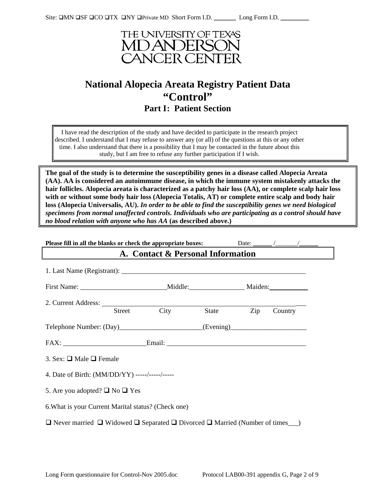

# **National Alopecia Areata Registry Patient Data "Control" Part I: Patient Section**

I have read the description of the study and have decided to participate in the research project described. I understand that I may refuse to answer any (or all) of the questions at this or any other time. I also understand that there is a possibility that I may be contacted in the future about this study, but I am free to refuse any further participation if I wish.

**The goal of the study is to determine the susceptibility genes in a disease called Alopecia Areata (AA). AA is considered an autoimmune disease, in which the immune system mistakenly attacks the hair follicles. Alopecia areata is characterized as a patchy hair loss (AA), or complete scalp hair loss with or without some body hair loss (Alopecia Totalis, AT) or complete entire scalp and body hair loss (Alopecia Universalis, AU).** *In order to be able to find the susceptibility genes we need biological specimens from normal unaffected controls. Individuals who are participating as a control should have no blood relation with anyone who has AA* **(as described above.)**

| Please fill in all the blanks or check the appropriate boxes:                    |  |             |  |           |         |  |
|----------------------------------------------------------------------------------|--|-------------|--|-----------|---------|--|
| A. Contact & Personal Information                                                |  |             |  |           |         |  |
|                                                                                  |  |             |  |           |         |  |
|                                                                                  |  |             |  |           |         |  |
|                                                                                  |  | Street City |  | State Zip | Country |  |
| Telephone Number: (Day)_________________________(Evening)_______________________ |  |             |  |           |         |  |
|                                                                                  |  |             |  |           |         |  |
| 3. Sex: $\Box$ Male $\Box$ Female                                                |  |             |  |           |         |  |
| 4. Date of Birth: (MM/DD/YY) -----/-----/-----                                   |  |             |  |           |         |  |
| 5. Are you adopted? $\Box$ No $\Box$ Yes                                         |  |             |  |           |         |  |
| 6. What is your Current Marital status? (Check one)                              |  |             |  |           |         |  |
|                                                                                  |  |             |  |           |         |  |
|                                                                                  |  |             |  |           |         |  |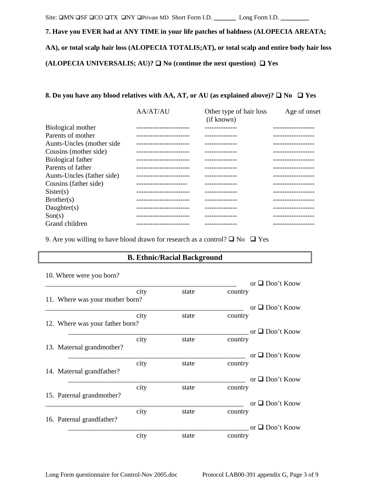## Site: MN SF CO TX NY Private MD Short Form I.D. \_\_\_\_\_\_\_ Long Form I.D. \_\_\_\_\_\_\_\_\_

**7. Have you EVER had at ANY TIME in your life patches of baldness (ALOPECIA AREATA; AA), or total scalp hair loss (ALOPECIA TOTALIS;AT), or total scalp and entire body hair loss**  (ALOPECIA UNIVERSALIS; AU)?  $\Box$  No (continue the next question)  $\Box$  Yes

#### **8. Do you have any blood relatives with AA, AT, or AU (as explained above)?**  $\Box$  **No**  $\Box$  **Yes**

|                            | <b>AA/AT/AU</b>          | Other type of hair loss<br>(if known) | Age of onset |
|----------------------------|--------------------------|---------------------------------------|--------------|
| Biological mother          |                          |                                       |              |
| Parents of mother          |                          |                                       |              |
| Aunts-Uncles (mother side  |                          |                                       |              |
| Cousins (mother side)      |                          |                                       |              |
| Biological father          |                          |                                       |              |
| Parents of father          |                          |                                       |              |
| Aunts-Uncles (father side) |                          |                                       |              |
| Cousins (father side)      |                          |                                       |              |
| Sister(s)                  |                          |                                       |              |
| Brother(s)                 | -----------------------  |                                       |              |
| Daughter $(s)$             |                          |                                       |              |
| Son(s)                     |                          |                                       |              |
| Grand children             | .----------------------- | ------------                          | .            |

9. Are you willing to have blood drawn for research as a control?  $\Box$  No  $\Box$  Yes

## **B. Ethnic/Racial Background**

|  | 10. Where were you born?        |      |                      | or $\Box$ Don't Know |
|--|---------------------------------|------|----------------------|----------------------|
|  | 11. Where was your mother born? | city | state                | country              |
|  |                                 |      |                      | or $\Box$ Don't Know |
|  | 12. Where was your father born? | city | state                | country              |
|  |                                 |      |                      | or $\Box$ Don't Know |
|  | 13. Maternal grandmother?       | city | state                | country              |
|  |                                 |      | or $\Box$ Don't Know |                      |
|  | 14. Maternal grandfather?       | city | state                | country              |
|  |                                 |      |                      | or $\Box$ Don't Know |
|  | 15. Paternal grandmother?       | city | state                | country              |
|  |                                 |      |                      | or $\Box$ Don't Know |
|  | 16. Paternal grandfather?       | city | state                | country              |
|  |                                 |      |                      | or $\Box$ Don't Know |
|  |                                 | city | state                | country              |

10. Where were you born?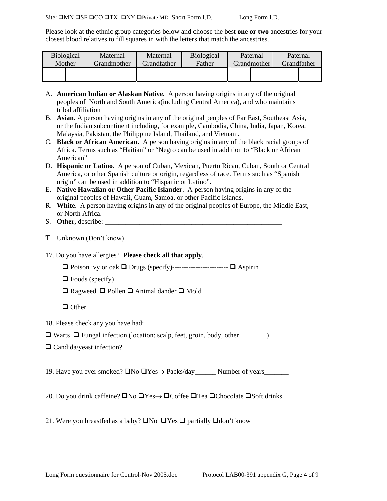Please look at the ethnic group categories below and choose the best **one or two** ancestries for your closest blood relatives to fill squares in with the letters that match the ancestries.

| <b>Biological</b><br>Mother |  | Maternal<br>Grandmother | Maternal<br>Grandfather | <b>Biological</b><br>Father | Paternal<br>Grandmother | Paternal | <b>Grandfather</b> |
|-----------------------------|--|-------------------------|-------------------------|-----------------------------|-------------------------|----------|--------------------|
|                             |  |                         |                         |                             |                         |          |                    |

- A. **American Indian or Alaskan Native.** A person having origins in any of the original peoples of North and South America(including Central America), and who maintains tribal affiliation
- B. **Asian.** A person having origins in any of the original peoples of Far East, Southeast Asia, or the Indian subcontinent including, for example, Cambodia, China, India, Japan, Korea, Malaysia, Pakistan, the Philippine Island, Thailand, and Vietnam.
- C. **Black or African American.** A person having origins in any of the black racial groups of Africa. Terms such as "Haitian" or "Negro can be used in addition to "Black or African American"
- D. **Hispanic or Latino**. A person of Cuban, Mexican, Puerto Rican, Cuban, South or Central America, or other Spanish culture or origin, regardless of race. Terms such as "Spanish origin" can be used in addition to "Hispanic or Latino".
- E. **Native Hawaiian or Other Pacific Islander**. A person having origins in any of the original peoples of Hawaii, Guam, Samoa, or other Pacific Islands.
- R. **White**. A person having origins in any of the original peoples of Europe, the Middle East, or North Africa.
- S. Other, describe:
- T. Unknown (Don't know)
- 17. Do you have allergies? **Please check all that apply**.
	- Poison ivy or oak Drugs (specify)------------------------ Aspirin
	- $\Box$  Foods (specify)
	- $\Box$  Ragweed  $\Box$  Pollen  $\Box$  Animal dander  $\Box$  Mold
	- $\Box$  Other
- 18. Please check any you have had:
- $\Box$  Warts  $\Box$  Fungal infection (location: scalp, feet, groin, body, other  $\Box$ )
- $\Box$  Candida/yeast infection?

19. Have you ever smoked? No Yes→ Packs/day\_\_\_\_\_\_ Number of years\_\_\_\_\_\_\_

20. Do you drink caffeine? □No □Yes→ □Coffee □Tea □Chocolate □Soft drinks.

21. Were you breastfed as a baby?  $\Box$  No  $\Box$  Yes  $\Box$  partially  $\Box$  don't know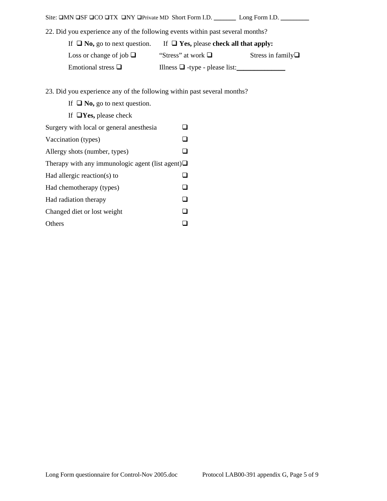| Site: $\square MN \square SF \square CO \square TX \square NY \square Private MD \nShort Form I.D.$ |                                             | Long Form I.D.             |  |  |
|-----------------------------------------------------------------------------------------------------|---------------------------------------------|----------------------------|--|--|
| 22. Did you experience any of the following events within past several months?                      |                                             |                            |  |  |
| If $\Box$ No, go to next question.                                                                  | If $\Box$ Yes, please check all that apply: |                            |  |  |
| Loss or change of job $\Box$                                                                        | "Stress" at work $\Box$                     | Stress in family $\square$ |  |  |
| Emotional stress $\Box$                                                                             | Illness $\Box$ -type - please list:         |                            |  |  |

23. Did you experience any of the following within past several months?

| If $\Box$ No, go to next question. |  |  |  |  |  |
|------------------------------------|--|--|--|--|--|
|------------------------------------|--|--|--|--|--|

If **Yes,** please check

| Surgery with local or general anesthesia               |  |
|--------------------------------------------------------|--|
| Vaccination (types)                                    |  |
| Allergy shots (number, types)                          |  |
| Therapy with any immunologic agent (list agent) $\Box$ |  |
| Had allergic reaction(s) to                            |  |
| Had chemotherapy (types)                               |  |
| Had radiation therapy                                  |  |
| Changed diet or lost weight                            |  |
| Others                                                 |  |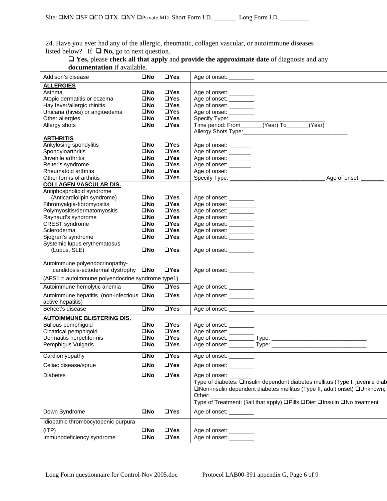24. Have you ever had any of the allergic, rheumatic, collagen vascular, or autoimmune diseases listed below? If  $\Box$  **No**, go to next question.

| $\Box$ Yes, please check all that apply and provide the approximate date of diagnosis and any |
|-----------------------------------------------------------------------------------------------|
| <b>documentation</b> if available.                                                            |

| Addison's disease                                | $\square$ No         | $\Box$ Yes                | Age of onset: _________                                                       |
|--------------------------------------------------|----------------------|---------------------------|-------------------------------------------------------------------------------|
| <b>ALLERGIES</b>                                 |                      |                           |                                                                               |
| Asthma                                           | <b>OND</b>           | $\Box$ Yes                | Age of onset: _________                                                       |
| Atopic dermatitis or eczema                      | $\square$ No         | $\Box$ Yes                | Age of onset: ________                                                        |
| Hay fever/allergic rhinitis                      | $\square$ No         | $\Box$ Yes                | Age of onset: ________                                                        |
| Urticaria (hives) or angioedema                  | $\square$ No         | $\Box$ Yes                | Age of onset: _________                                                       |
| Other allergies                                  | $\square$ No         | $\Box$ Yes                |                                                                               |
| Allergy shots                                    | $\square$ No         | $\Box$ Yes                | Time period: From_______(Year) To______(Year)                                 |
|                                                  |                      |                           | Allergy Shots Type:__________                                                 |
| <b>ARTHRITIS</b>                                 |                      |                           |                                                                               |
| Ankylosing spondylitis                           | $\square$ No         | $\Box$ Yes                | Age of onset: _______                                                         |
| Spondyloarthritis                                | $\square$ No         | $\Box$ Yes                | Age of onset: _______                                                         |
| Juvenile arthritis                               | $\square$ No         | $\Box$ Yes                | Age of onset: _______                                                         |
|                                                  | $\square$ No         | $\Box$ Yes                |                                                                               |
| Reiter's syndrome                                |                      |                           | Age of onset: _______                                                         |
| Rheumatoid arthritis                             | $\square$ No         | $\Box$ Yes                | Age of onset: ________                                                        |
| Other forms of arthritis                         | $\square$ No         | $\Box$ Yes                | Age of onset:                                                                 |
| <b>COLLAGEN VASCULAR DIS.</b>                    |                      |                           |                                                                               |
| Antiphospholipid syndrome                        |                      |                           |                                                                               |
| (Anticardiolipin syndrome)                       | $\square$ No         | $\Box$ Yes                | Age of onset: _________                                                       |
| Fibromyalgia-fibromyositis                       | $\square$ No         | $\Box$ Yes                | Age of onset:                                                                 |
| Polymyositis/dermatomyositis                     | $\square$ No         | $\Box$ Yes                | Age of onset: _______                                                         |
| Raynaud's syndrome                               | $\square$ No         | $\Box$ Yes                | Age of onset: _________                                                       |
| <b>CREST</b> syndrome                            | $\square$ No         | $\Box$ Yes                | Age of onset: _________                                                       |
| Scleroderma                                      | $\square$ No         | $\Box$ Yes                | Age of onset: ________                                                        |
| Sjogren's syndrome                               | $\square$ No         | $\Box$ Yes                | Age of onset: _________                                                       |
| Systemic lupus erythematosus                     |                      |                           |                                                                               |
| (Lupus, SLE)                                     | $\square$ No         | $\Box$ Yes                | Age of onset: _________                                                       |
|                                                  |                      |                           |                                                                               |
| Autoimmune polyendocrinopathy-                   |                      |                           |                                                                               |
| candidosis-ectodermal dystrophy □No              |                      | $\Box$ Yes                | Age of onset: _________                                                       |
| (APS1 = autoimmune polyendocrine syndrome type1) |                      |                           |                                                                               |
| Autoimmune hemolytic anemia                      | $\square$ No         | $\overline{u}$ Yes        | Age of onset:                                                                 |
| Autoimmune hepatitis (non-infectious ONo         |                      | $\overline{\square Y}$ es | Age of onset:                                                                 |
| active hepatitis)                                |                      |                           |                                                                               |
| Behcet's disease                                 | $\square$ No         | $\overline{\square Y}$ es | Age of onset: _________                                                       |
| <b>AUTOIMMUNE BLISTERING DIS.</b>                |                      |                           |                                                                               |
| Bullous pemphigoid                               | ONo                  | $\Box$ Yes                | Age of onset: _________                                                       |
| Cicatrical pemphigoid                            | $\square$ No         | $\Box$ Yes                | Age of onset: _________                                                       |
| Dermatitis herpetiformis                         | $\square$ No         | $\Box$ Yes                |                                                                               |
| Pemphigus Vulgaris                               | $\square$ No         | $\Box$ Yes                |                                                                               |
|                                                  |                      |                           |                                                                               |
| Cardiomyopathy                                   | $\square$ No         | $\overline{\square Y}$ es | Age of onset:                                                                 |
| Celiac disease/sprue                             | $\square$ No         | $\Box$ Yes                | Age of onset: _________                                                       |
| <b>Diabetes</b>                                  | $\square$ No         | $\Box$ Yes                | Age of onset:                                                                 |
|                                                  |                      |                           | Type of diabetes: □Insulin dependent diabetes mellitus (Type I, juvenile diab |
|                                                  |                      |                           | □Non-insulin dependent diabetes mellitus (Type II, adult onset) □Unknown;     |
|                                                  |                      |                           | Other:                                                                        |
|                                                  |                      |                           | Type of Treatment: (3all that apply) □Pills □Diet □Insulin □No treatment      |
|                                                  |                      |                           |                                                                               |
| Down Syndrome                                    | $\square$ No         | $\Box$ Yes                | Age of onset: ________                                                        |
| Idiopathic thrombocytopenic purpura              |                      |                           |                                                                               |
| (ITP)                                            | $\square$ No         | $\Box$ Yes                | Age of onset:                                                                 |
| Immunodeficiency syndrome                        | $\overline{\Box}$ No | $\Box$ Yes                | Age of onset: ________                                                        |
|                                                  |                      |                           |                                                                               |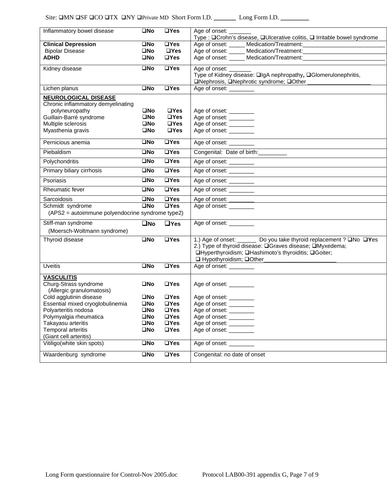| Inflammatory bowel disease                       | $\square$ No | $\overline{\square Y}$ es | Age of onset:<br>Type : <b>QCrohn's disease</b> , <b>QUIcerative colitis</b> , <b>Q Irritable bowel syndrome</b> |
|--------------------------------------------------|--------------|---------------------------|------------------------------------------------------------------------------------------------------------------|
| <b>Clinical Depression</b>                       | $\square$ No | $\overline{\square Y}$ es |                                                                                                                  |
| <b>Bipolar Disease</b>                           | $\square$ No | $\Box$ Yes                |                                                                                                                  |
| <b>ADHD</b>                                      | $\square$ No | $\Box$ Yes                | Age of onset: ______ Medication/Treatment: __________________________                                            |
|                                                  |              |                           |                                                                                                                  |
| Kidney disease                                   | $\square$ No | $\overline{\Box Y}$ es    | Age of onset: _____                                                                                              |
|                                                  |              |                           | Type of Kidney disease: □IgA nephropathy, □Glomerulonephritis,                                                   |
|                                                  |              |                           | □Nephrosis, □Nephrotic syndrome; □Other                                                                          |
| Lichen planus                                    | $\square$ No | $\Box$ Yes                | Age of onset:                                                                                                    |
| <b>NEUROLOGICAL DISEASE</b>                      |              |                           |                                                                                                                  |
| Chronic inflammatory demyelinating               |              |                           |                                                                                                                  |
| polyneuropathy                                   | $\square$ No | $\Box$ Yes                | Age of onset: ________                                                                                           |
| Guillain-Barré syndrome                          | $\square$ No | $\Box$ Yes                | Age of onset: ________                                                                                           |
| Multiple sclerosis                               | $\square$ No | $\Box$ Yes                | Age of onset: ________                                                                                           |
| Myasthenia gravis                                | $\square$ No | $\Box$ Yes                | Age of onset: _________                                                                                          |
| Pernicious anemia                                | $\square$ No | $\Box$ Yes                | Age of onset: _________                                                                                          |
| Piebaldism                                       | $\square$ No | $\overline{UY}$ es        | Congenital: Date of birth:                                                                                       |
| Polychondritis                                   | $\square$ No | $\overline{\square Y}$ es | Age of onset: _________                                                                                          |
| Primary biliary cirrhosis                        | $\square$ No | <b>□Yes</b>               | Age of onset: _________                                                                                          |
| Psoriasis                                        | $\square$ No | $\Box$ Yes                | Age of onset: _________                                                                                          |
| <b>Rheumatic fever</b>                           | $\square$ No | $\Box$ Yes                | Age of onset: _________                                                                                          |
| Sarcoidosis                                      | $\square$ No | $\Box$ Yes                |                                                                                                                  |
| Schmidt syndrome                                 | $\square$ No | $\overline{UY}$ es        | Age of onset:                                                                                                    |
| (APS2 = autoimmune polyendocrine syndrome type2) |              |                           |                                                                                                                  |
| Stiff-man syndrome                               | $\square$ No | $\Box$ Yes                | Age of onset: __________                                                                                         |
| (Moersch-Woltmann syndrome)                      |              |                           |                                                                                                                  |
|                                                  |              |                           |                                                                                                                  |
| Thyroid disease                                  | $\square$ No | $\overline{UY}$ es        | 1.) Age of onset: _______ Do you take thyroid replacement ? □No □Yes                                             |
|                                                  |              |                           | 2.) Type of thyroid disease: □ Graves disease; □ Myxedema;                                                       |
|                                                  |              |                           | □Hyperthyroidism; □Hashimoto's thyroiditis; □Goiter;                                                             |
|                                                  |              |                           | □ Hypothyroidism; □Other_<br><u> 1989 - Johann John Stein, mars er fransk politiker (d. 1989)</u>                |
| <b>Uveitis</b>                                   | $\square$ No | $\Box$ Yes                | Age of onset: _________                                                                                          |
| <b>VASCULITIS</b>                                |              |                           |                                                                                                                  |
| Churg-Strass syndrome                            | $\square$ No | $\Box$ Yes                | Age of onset: _________                                                                                          |
| (Allergic granulomatosis)                        |              |                           |                                                                                                                  |
| Cold agglutinin disease                          | $\square$ No | $\Box$ Yes                | Age of onset: _________                                                                                          |
| Essential mixed cryoglobulinemia                 | $\square$ No | $\Box$ Yes                | Age of onset: _________                                                                                          |
| Polyarteritis nodosa                             | $\square$ No | $\Box$ Yes                |                                                                                                                  |
| Polymyalgia rheumatica                           | $\square$ No | $\Box$ Yes                | Age of onset: ________                                                                                           |
| Takayasu arteritis                               | $\square$ No | $\square$ Yes             | Age of onset: ________<br>Age of onset: ________                                                                 |
| Temporal arteritis                               | $\square$ No | $\square$ Yes             | Age of onset: _________                                                                                          |
| (Giant cell arteritis)                           |              |                           |                                                                                                                  |
| Vitiligo(white skin spots)                       | $\square$ No | $\Box$ Yes                | Age of onset: _________                                                                                          |
| Waardenburg syndrome                             | $\square$ No | $\Box$ Yes                | Congenital: no date of onset                                                                                     |
|                                                  |              |                           |                                                                                                                  |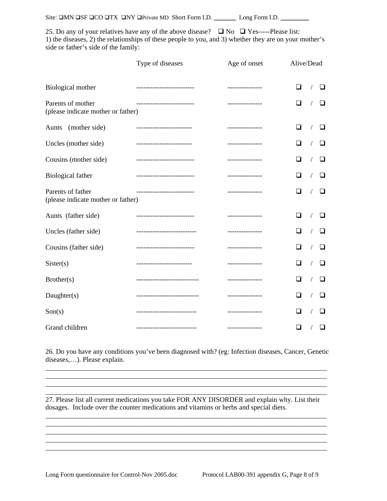| Site: $\Box MN \Box SF \Box CO \Box TX \Box NY \Box Private \, MD \, Short \, Form \, I.D.$<br>Long Form I.D. |  |
|---------------------------------------------------------------------------------------------------------------|--|
|---------------------------------------------------------------------------------------------------------------|--|

25. Do any of your relatives have any of the above disease?  $\Box$  No  $\Box$  Yes-----Please list: 1) the diseases, 2) the relationships of these people to you, and 3) whether they are on your mother's side or father's side of the family:

|                                                         | Type of diseases             | Age of onset    | Alive/Dead           |
|---------------------------------------------------------|------------------------------|-----------------|----------------------|
| Biological mother                                       | --------------------------   | --------------- | □<br>□<br>$\sqrt{2}$ |
| Parents of mother<br>(please indicate mother or father) | -------------------------    | --------------- | П<br>□               |
| (mother side)<br>Aunts                                  | ------------------------     | --------------- | □<br>□               |
| Uncles (mother side)                                    | -------------------------    | --------------- | ப                    |
| Cousins (mother side)                                   | --------------------------   | --------------- | ப<br>ப               |
| <b>Biological father</b>                                | --------------------------   | --------------- | □<br>❏               |
| Parents of father<br>(please indicate mother or father) | -------------------------    | --------------- | □<br>l 1             |
| Aunts (father side)                                     | -------------------------    | --------------- | □<br>❏               |
| Uncles (father side)                                    | ---------------------------  | --------------- | □<br>ப               |
| Cousins (father side)                                   | -------------------------    | --------------- | □<br>□               |
| Sister(s)                                               | -------------------------    | --------------- | □<br>ப               |
| Brother(s)                                              | ---------------------------- | --------------- | ப<br>ப               |
| Daughter(s)                                             | ---------------------------- | --------------- | ❏<br>ப               |
| Son(s)                                                  | ---------------------------  | --------------- | ப<br>ப               |
| Grand children                                          | --------------------------   | --------------- | □<br>❏               |

26. Do you have any conditions you've been diagnosed with? (eg: Infection diseases, Cancer, Genetic diseases,…). Please explain. \_\_\_\_\_\_\_\_\_\_\_\_\_\_\_\_\_\_\_\_\_\_\_\_\_\_\_\_\_\_\_\_\_\_\_\_\_\_\_\_\_\_\_\_\_\_\_\_\_\_\_\_\_\_\_\_\_\_\_\_\_\_\_\_\_\_\_\_\_\_\_\_\_\_\_\_\_\_\_\_\_

 $\mathcal{L}_\mathcal{L} = \{ \mathcal{L}_\mathcal{L} = \{ \mathcal{L}_\mathcal{L} = \{ \mathcal{L}_\mathcal{L} = \{ \mathcal{L}_\mathcal{L} = \{ \mathcal{L}_\mathcal{L} = \{ \mathcal{L}_\mathcal{L} = \{ \mathcal{L}_\mathcal{L} = \{ \mathcal{L}_\mathcal{L} = \{ \mathcal{L}_\mathcal{L} = \{ \mathcal{L}_\mathcal{L} = \{ \mathcal{L}_\mathcal{L} = \{ \mathcal{L}_\mathcal{L} = \{ \mathcal{L}_\mathcal{L} = \{ \mathcal{L}_\mathcal{$ \_\_\_\_\_\_\_\_\_\_\_\_\_\_\_\_\_\_\_\_\_\_\_\_\_\_\_\_\_\_\_\_\_\_\_\_\_\_\_\_\_\_\_\_\_\_\_\_\_\_\_\_\_\_\_\_\_\_\_\_\_\_\_\_\_\_\_\_\_\_\_\_\_\_\_\_\_\_\_\_\_ \_\_\_\_\_\_\_\_\_\_\_\_\_\_\_\_\_\_\_\_\_\_\_\_\_\_\_\_\_\_\_\_\_\_\_\_\_\_\_\_\_\_\_\_\_\_\_\_\_\_\_\_\_\_\_\_\_\_\_\_\_\_\_\_\_\_\_\_\_\_\_\_\_\_\_\_\_\_\_\_\_

\_\_\_\_\_\_\_\_\_\_\_\_\_\_\_\_\_\_\_\_\_\_\_\_\_\_\_\_\_\_\_\_\_\_\_\_\_\_\_\_\_\_\_\_\_\_\_\_\_\_\_\_\_\_\_\_\_\_\_\_\_\_\_\_\_\_\_\_\_\_\_\_\_\_\_\_\_\_\_\_\_ \_\_\_\_\_\_\_\_\_\_\_\_\_\_\_\_\_\_\_\_\_\_\_\_\_\_\_\_\_\_\_\_\_\_\_\_\_\_\_\_\_\_\_\_\_\_\_\_\_\_\_\_\_\_\_\_\_\_\_\_\_\_\_\_\_\_\_\_\_\_\_\_\_\_\_\_\_\_\_\_\_

\_\_\_\_\_\_\_\_\_\_\_\_\_\_\_\_\_\_\_\_\_\_\_\_\_\_\_\_\_\_\_\_\_\_\_\_\_\_\_\_\_\_\_\_\_\_\_\_\_\_\_\_\_\_\_\_\_\_\_\_\_\_\_\_\_\_\_\_\_\_\_\_\_\_\_\_\_\_\_\_\_

27. Please list all current medications you take FOR ANY DISORDER and explain why. List their dosages. Include over the counter medications and vitamins or herbs and special diets.